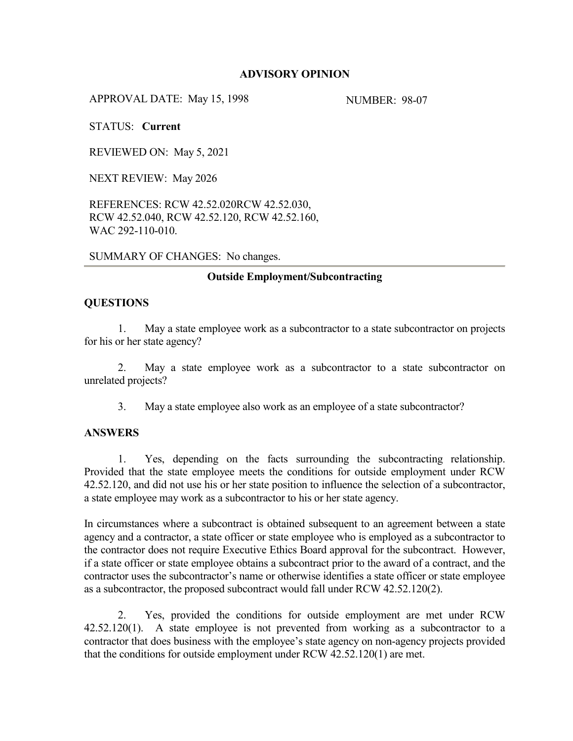## **ADVISORY OPINION**

APPROVAL DATE: May 15, 1998 NUMBER: 98-07

STATUS: **Current**

REVIEWED ON: May 5, 2021

NEXT REVIEW: May 2026

REFERENCES: RCW 42.52.020RCW 42.52.030, RCW 42.52.040, RCW 42.52.120, RCW 42.52.160, WAC 292-110-010.

SUMMARY OF CHANGES: No changes.

#### **Outside Employment/Subcontracting**

#### **QUESTIONS**

1. May a state employee work as a subcontractor to a state subcontractor on projects for his or her state agency?

2. May a state employee work as a subcontractor to a state subcontractor on unrelated projects?

3. May a state employee also work as an employee of a state subcontractor?

## **ANSWERS**

1. Yes, depending on the facts surrounding the subcontracting relationship. Provided that the state employee meets the conditions for outside employment under RCW 42.52.120, and did not use his or her state position to influence the selection of a subcontractor, a state employee may work as a subcontractor to his or her state agency.

In circumstances where a subcontract is obtained subsequent to an agreement between a state agency and a contractor, a state officer or state employee who is employed as a subcontractor to the contractor does not require Executive Ethics Board approval for the subcontract. However, if a state officer or state employee obtains a subcontract prior to the award of a contract, and the contractor uses the subcontractor's name or otherwise identifies a state officer or state employee as a subcontractor, the proposed subcontract would fall under RCW 42.52.120(2).

2. Yes, provided the conditions for outside employment are met under RCW 42.52.120(1). A state employee is not prevented from working as a subcontractor to a contractor that does business with the employee's state agency on non-agency projects provided that the conditions for outside employment under RCW 42.52.120(1) are met.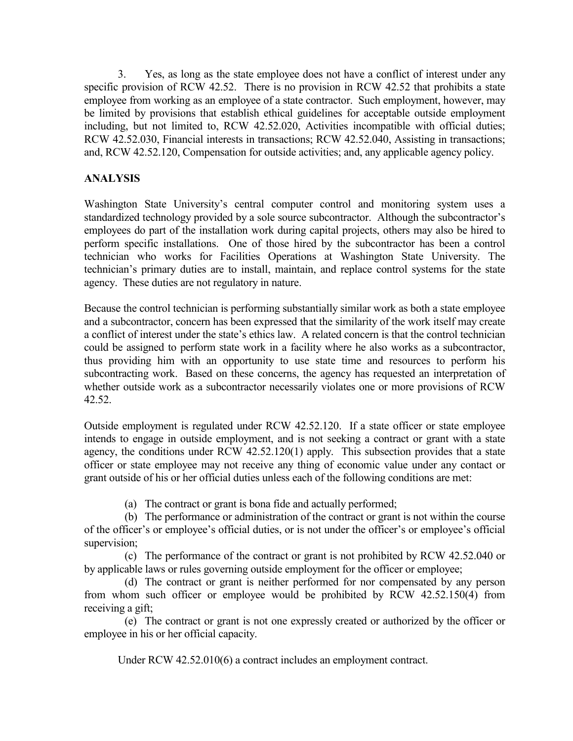3. Yes, as long as the state employee does not have a conflict of interest under any specific provision of RCW 42.52. There is no provision in RCW 42.52 that prohibits a state employee from working as an employee of a state contractor. Such employment, however, may be limited by provisions that establish ethical guidelines for acceptable outside employment including, but not limited to, RCW 42.52.020, Activities incompatible with official duties; RCW 42.52.030, Financial interests in transactions; RCW 42.52.040, Assisting in transactions; and, RCW 42.52.120, Compensation for outside activities; and, any applicable agency policy.

# **ANALYSIS**

Washington State University's central computer control and monitoring system uses a standardized technology provided by a sole source subcontractor. Although the subcontractor's employees do part of the installation work during capital projects, others may also be hired to perform specific installations. One of those hired by the subcontractor has been a control technician who works for Facilities Operations at Washington State University. The technician's primary duties are to install, maintain, and replace control systems for the state agency. These duties are not regulatory in nature.

Because the control technician is performing substantially similar work as both a state employee and a subcontractor, concern has been expressed that the similarity of the work itself may create a conflict of interest under the state's ethics law. A related concern is that the control technician could be assigned to perform state work in a facility where he also works as a subcontractor, thus providing him with an opportunity to use state time and resources to perform his subcontracting work. Based on these concerns, the agency has requested an interpretation of whether outside work as a subcontractor necessarily violates one or more provisions of RCW 42.52.

Outside employment is regulated under RCW 42.52.120. If a state officer or state employee intends to engage in outside employment, and is not seeking a contract or grant with a state agency, the conditions under RCW 42.52.120(1) apply. This subsection provides that a state officer or state employee may not receive any thing of economic value under any contact or grant outside of his or her official duties unless each of the following conditions are met:

(a) The contract or grant is bona fide and actually performed;

(b) The performance or administration of the contract or grant is not within the course of the officer's or employee's official duties, or is not under the officer's or employee's official supervision;

(c) The performance of the contract or grant is not prohibited by RCW 42.52.040 or by applicable laws or rules governing outside employment for the officer or employee;

(d) The contract or grant is neither performed for nor compensated by any person from whom such officer or employee would be prohibited by RCW 42.52.150(4) from receiving a gift;

(e) The contract or grant is not one expressly created or authorized by the officer or employee in his or her official capacity.

Under RCW 42.52.010(6) a contract includes an employment contract.